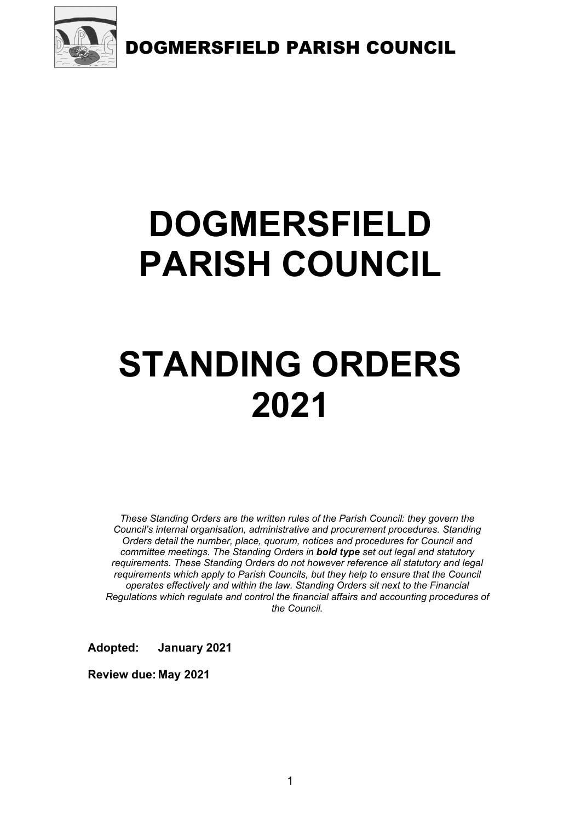

# DOGMERSFIELD PARISH COUNCIL

# STANDING ORDERS 2021

These Standing Orders are the written rules of the Parish Council: they govern the Council's internal organisation, administrative and procurement procedures. Standing Orders detail the number, place, quorum, notices and procedures for Council and committee meetings. The Standing Orders in **bold type** set out legal and statutory requirements. These Standing Orders do not however reference all statutory and legal requirements which apply to Parish Councils, but they help to ensure that the Council operates effectively and within the law. Standing Orders sit next to the Financial Regulations which regulate and control the financial affairs and accounting procedures of the Council.

Adopted: January 2021

Review due: May 2021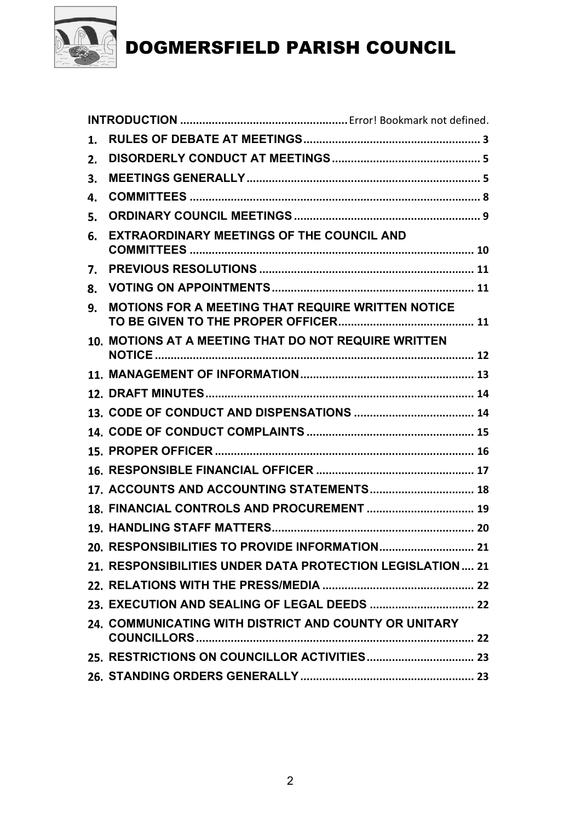

| 1. |                                                            |
|----|------------------------------------------------------------|
| 2. |                                                            |
| 3. |                                                            |
| 4. |                                                            |
| 5. |                                                            |
| 6. | <b>EXTRAORDINARY MEETINGS OF THE COUNCIL AND</b>           |
| 7. |                                                            |
| 8. |                                                            |
| 9. | <b>MOTIONS FOR A MEETING THAT REQUIRE WRITTEN NOTICE</b>   |
|    | 10. MOTIONS AT A MEETING THAT DO NOT REQUIRE WRITTEN       |
|    |                                                            |
|    |                                                            |
|    |                                                            |
|    |                                                            |
|    |                                                            |
|    |                                                            |
|    | 17. ACCOUNTS AND ACCOUNTING STATEMENTS 18                  |
|    | 18. FINANCIAL CONTROLS AND PROCUREMENT  19                 |
|    |                                                            |
|    |                                                            |
|    | 21. RESPONSIBILITIES UNDER DATA PROTECTION LEGISLATION  21 |
|    |                                                            |
|    |                                                            |
|    | 24. COMMUNICATING WITH DISTRICT AND COUNTY OR UNITARY      |
|    |                                                            |
|    |                                                            |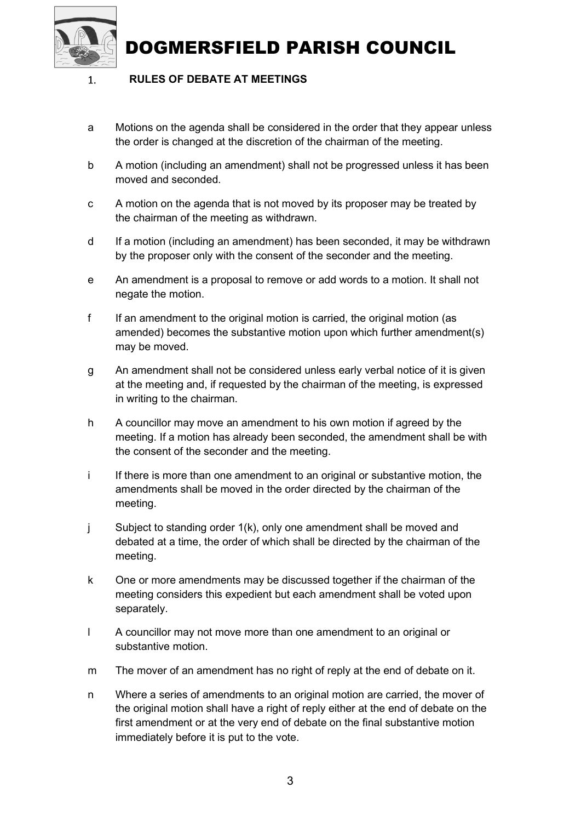

 $\mathbf{1}$ 

### DOGMERSFIELD PARISH COUNCIL

### RULES OF DEBATE AT MEETINGS

- a Motions on the agenda shall be considered in the order that they appear unless the order is changed at the discretion of the chairman of the meeting.
- b A motion (including an amendment) shall not be progressed unless it has been moved and seconded.
- c A motion on the agenda that is not moved by its proposer may be treated by the chairman of the meeting as withdrawn.
- d If a motion (including an amendment) has been seconded, it may be withdrawn by the proposer only with the consent of the seconder and the meeting.
- e An amendment is a proposal to remove or add words to a motion. It shall not negate the motion.
- f If an amendment to the original motion is carried, the original motion (as amended) becomes the substantive motion upon which further amendment(s) may be moved.
- g An amendment shall not be considered unless early verbal notice of it is given at the meeting and, if requested by the chairman of the meeting, is expressed in writing to the chairman.
- h A councillor may move an amendment to his own motion if agreed by the meeting. If a motion has already been seconded, the amendment shall be with the consent of the seconder and the meeting.
- i If there is more than one amendment to an original or substantive motion, the amendments shall be moved in the order directed by the chairman of the meeting.
- j Subject to standing order 1(k), only one amendment shall be moved and debated at a time, the order of which shall be directed by the chairman of the meeting.
- k One or more amendments may be discussed together if the chairman of the meeting considers this expedient but each amendment shall be voted upon separately.
- l A councillor may not move more than one amendment to an original or substantive motion.
- m The mover of an amendment has no right of reply at the end of debate on it.
- n Where a series of amendments to an original motion are carried, the mover of the original motion shall have a right of reply either at the end of debate on the first amendment or at the very end of debate on the final substantive motion immediately before it is put to the vote.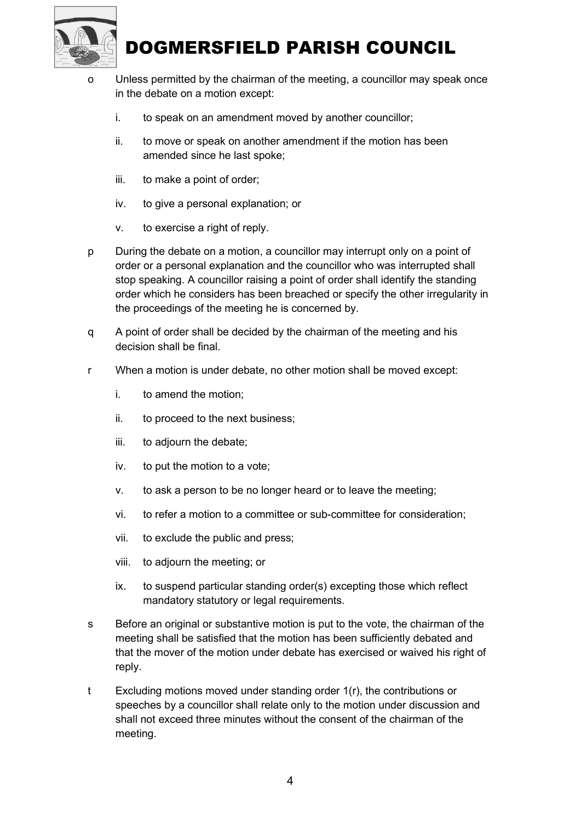

- o Unless permitted by the chairman of the meeting, a councillor may speak once in the debate on a motion except:
	- i. to speak on an amendment moved by another councillor;
	- ii. to move or speak on another amendment if the motion has been amended since he last spoke;
	- iii. to make a point of order;
	- iv. to give a personal explanation; or
	- v. to exercise a right of reply.
- p During the debate on a motion, a councillor may interrupt only on a point of order or a personal explanation and the councillor who was interrupted shall stop speaking. A councillor raising a point of order shall identify the standing order which he considers has been breached or specify the other irregularity in the proceedings of the meeting he is concerned by.
- q A point of order shall be decided by the chairman of the meeting and his decision shall be final.
- r When a motion is under debate, no other motion shall be moved except:
	- i. to amend the motion;
	- ii. to proceed to the next business;
	- iii. to adjourn the debate;
	- iv. to put the motion to a vote;
	- v. to ask a person to be no longer heard or to leave the meeting;
	- vi. to refer a motion to a committee or sub-committee for consideration;
	- vii. to exclude the public and press;
	- viii. to adjourn the meeting; or
	- ix. to suspend particular standing order(s) excepting those which reflect mandatory statutory or legal requirements.
- s Before an original or substantive motion is put to the vote, the chairman of the meeting shall be satisfied that the motion has been sufficiently debated and that the mover of the motion under debate has exercised or waived his right of reply.
- t Excluding motions moved under standing order 1(r), the contributions or speeches by a councillor shall relate only to the motion under discussion and shall not exceed three minutes without the consent of the chairman of the meeting.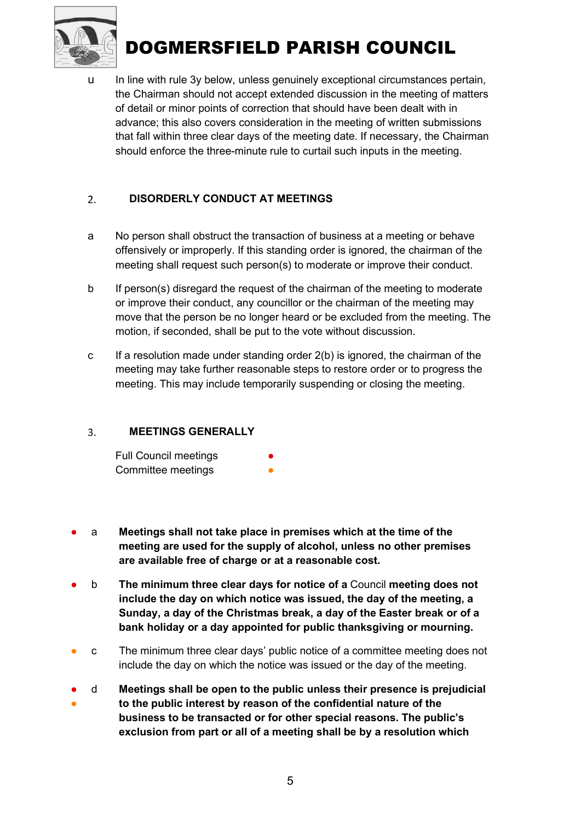

u In line with rule 3y below, unless genuinely exceptional circumstances pertain, the Chairman should not accept extended discussion in the meeting of matters of detail or minor points of correction that should have been dealt with in advance; this also covers consideration in the meeting of written submissions that fall within three clear days of the meeting date. If necessary, the Chairman should enforce the three-minute rule to curtail such inputs in the meeting.

#### $2.$ DISORDERLY CONDUCT AT MEETINGS

- a No person shall obstruct the transaction of business at a meeting or behave offensively or improperly. If this standing order is ignored, the chairman of the meeting shall request such person(s) to moderate or improve their conduct.
- b If person(s) disregard the request of the chairman of the meeting to moderate or improve their conduct, any councillor or the chairman of the meeting may move that the person be no longer heard or be excluded from the meeting. The motion, if seconded, shall be put to the vote without discussion.
- c If a resolution made under standing order  $2(b)$  is ignored, the chairman of the meeting may take further reasonable steps to restore order or to progress the meeting. This may include temporarily suspending or closing the meeting.

#### $3.$ MEETINGS GENERALLY

| <b>Full Council meetings</b> |  |
|------------------------------|--|
| Committee meetings           |  |

- a Meetings shall not take place in premises which at the time of the meeting are used for the supply of alcohol, unless no other premises are available free of charge or at a reasonable cost.
- b The minimum three clear days for notice of a Council meeting does not include the day on which notice was issued, the day of the meeting, a Sunday, a day of the Christmas break, a day of the Easter break or of a bank holiday or a day appointed for public thanksgiving or mourning.
- c The minimum three clear days' public notice of a committee meeting does not include the day on which the notice was issued or the day of the meeting.
- ● d Meetings shall be open to the public unless their presence is prejudicial to the public interest by reason of the confidential nature of the business to be transacted or for other special reasons. The public's exclusion from part or all of a meeting shall be by a resolution which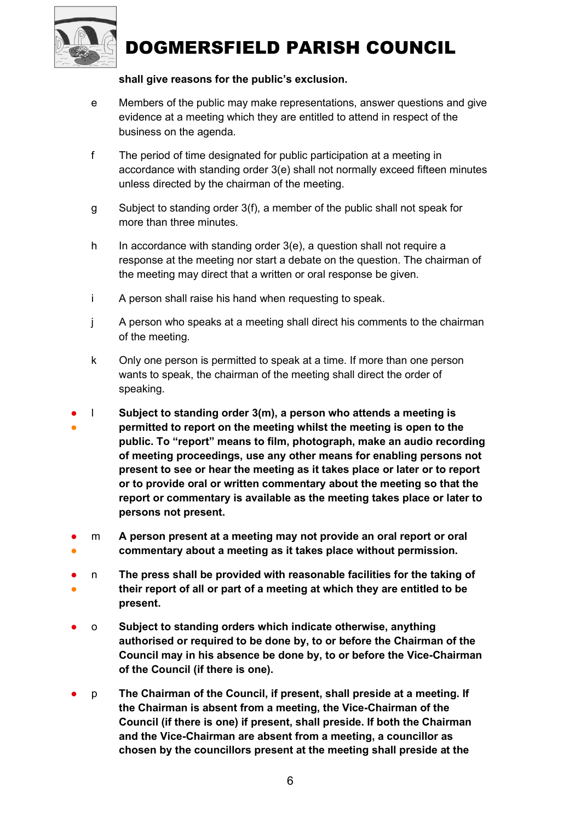

### shall give reasons for the public's exclusion.

- e Members of the public may make representations, answer questions and give evidence at a meeting which they are entitled to attend in respect of the business on the agenda.
- f The period of time designated for public participation at a meeting in accordance with standing order 3(e) shall not normally exceed fifteen minutes unless directed by the chairman of the meeting.
- g Subject to standing order 3(f), a member of the public shall not speak for more than three minutes.
- h In accordance with standing order 3(e), a question shall not require a response at the meeting nor start a debate on the question. The chairman of the meeting may direct that a written or oral response be given.
- i A person shall raise his hand when requesting to speak.
- j A person who speaks at a meeting shall direct his comments to the chairman of the meeting.
- k Only one person is permitted to speak at a time. If more than one person wants to speak, the chairman of the meeting shall direct the order of speaking.
- ● l Subject to standing order 3(m), a person who attends a meeting is permitted to report on the meeting whilst the meeting is open to the public. To "report" means to film, photograph, make an audio recording of meeting proceedings, use any other means for enabling persons not present to see or hear the meeting as it takes place or later or to report or to provide oral or written commentary about the meeting so that the report or commentary is available as the meeting takes place or later to persons not present.
- ● m A person present at a meeting may not provide an oral report or oral commentary about a meeting as it takes place without permission.
- ● n The press shall be provided with reasonable facilities for the taking of their report of all or part of a meeting at which they are entitled to be present.
- o Subject to standing orders which indicate otherwise, anything authorised or required to be done by, to or before the Chairman of the Council may in his absence be done by, to or before the Vice-Chairman of the Council (if there is one).
- p The Chairman of the Council, if present, shall preside at a meeting. If the Chairman is absent from a meeting, the Vice-Chairman of the Council (if there is one) if present, shall preside. If both the Chairman and the Vice-Chairman are absent from a meeting, a councillor as chosen by the councillors present at the meeting shall preside at the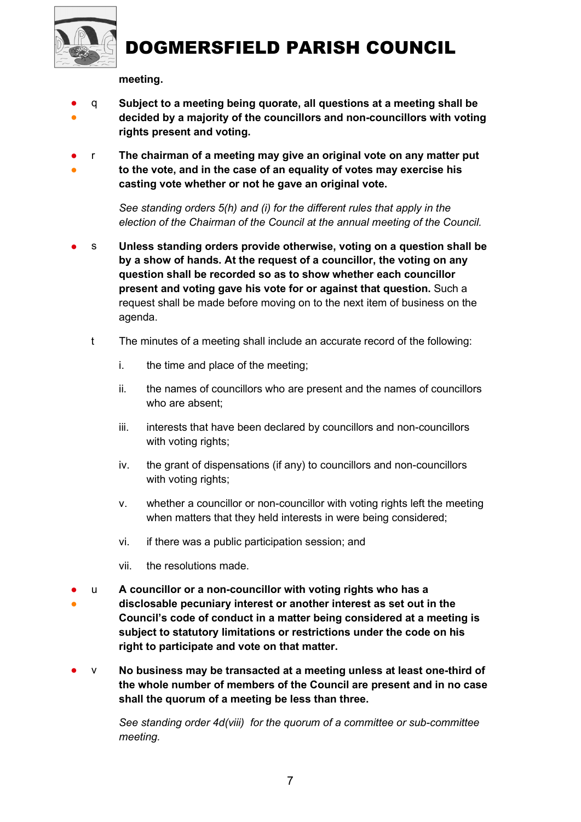

meeting.

- ● q Subject to a meeting being quorate, all questions at a meeting shall be decided by a majority of the councillors and non-councillors with voting rights present and voting.
- ● r The chairman of a meeting may give an original vote on any matter put to the vote, and in the case of an equality of votes may exercise his casting vote whether or not he gave an original vote.

See standing orders 5(h) and (i) for the different rules that apply in the election of the Chairman of the Council at the annual meeting of the Council.

- s Unless standing orders provide otherwise, voting on a question shall be by a show of hands. At the request of a councillor, the voting on any question shall be recorded so as to show whether each councillor present and voting gave his vote for or against that question. Such a request shall be made before moving on to the next item of business on the agenda.
	- t The minutes of a meeting shall include an accurate record of the following:
		- i. the time and place of the meeting;
		- ii. the names of councillors who are present and the names of councillors who are absent;
		- iii. interests that have been declared by councillors and non-councillors with voting rights;
		- iv. the grant of dispensations (if any) to councillors and non-councillors with voting rights;
		- v. whether a councillor or non-councillor with voting rights left the meeting when matters that they held interests in were being considered;
		- vi. if there was a public participation session; and
		- vii. the resolutions made.
- ● u A councillor or a non-councillor with voting rights who has a disclosable pecuniary interest or another interest as set out in the Council's code of conduct in a matter being considered at a meeting is subject to statutory limitations or restrictions under the code on his right to participate and vote on that matter.
- v No business may be transacted at a meeting unless at least one-third of the whole number of members of the Council are present and in no case shall the quorum of a meeting be less than three.

See standing order 4d(viii) for the quorum of a committee or sub-committee meeting.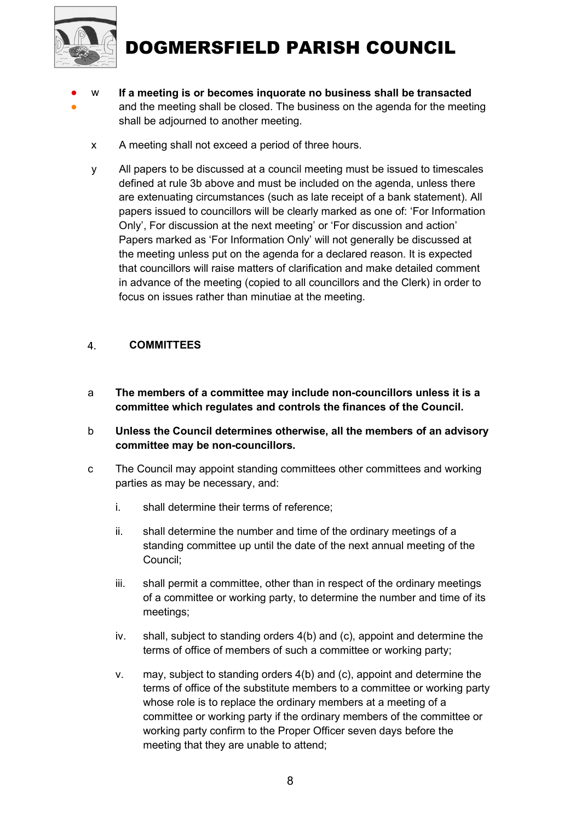

- ● w If a meeting is or becomes inquorate no business shall be transacted and the meeting shall be closed. The business on the agenda for the meeting shall be adjourned to another meeting.
	- x A meeting shall not exceed a period of three hours.
	- y All papers to be discussed at a council meeting must be issued to timescales defined at rule 3b above and must be included on the agenda, unless there are extenuating circumstances (such as late receipt of a bank statement). All papers issued to councillors will be clearly marked as one of: 'For Information Only', For discussion at the next meeting' or 'For discussion and action' Papers marked as 'For Information Only' will not generally be discussed at the meeting unless put on the agenda for a declared reason. It is expected that councillors will raise matters of clarification and make detailed comment in advance of the meeting (copied to all councillors and the Clerk) in order to focus on issues rather than minutiae at the meeting.

#### 4. **COMMITTEES**

- a The members of a committee may include non-councillors unless it is a committee which regulates and controls the finances of the Council.
- b Unless the Council determines otherwise, all the members of an advisory committee may be non-councillors.
- c The Council may appoint standing committees other committees and working parties as may be necessary, and:
	- i. shall determine their terms of reference;
	- ii. shall determine the number and time of the ordinary meetings of a standing committee up until the date of the next annual meeting of the Council;
	- iii. shall permit a committee, other than in respect of the ordinary meetings of a committee or working party, to determine the number and time of its meetings;
	- iv. shall, subject to standing orders 4(b) and (c), appoint and determine the terms of office of members of such a committee or working party;
	- v. may, subject to standing orders 4(b) and (c), appoint and determine the terms of office of the substitute members to a committee or working party whose role is to replace the ordinary members at a meeting of a committee or working party if the ordinary members of the committee or working party confirm to the Proper Officer seven days before the meeting that they are unable to attend;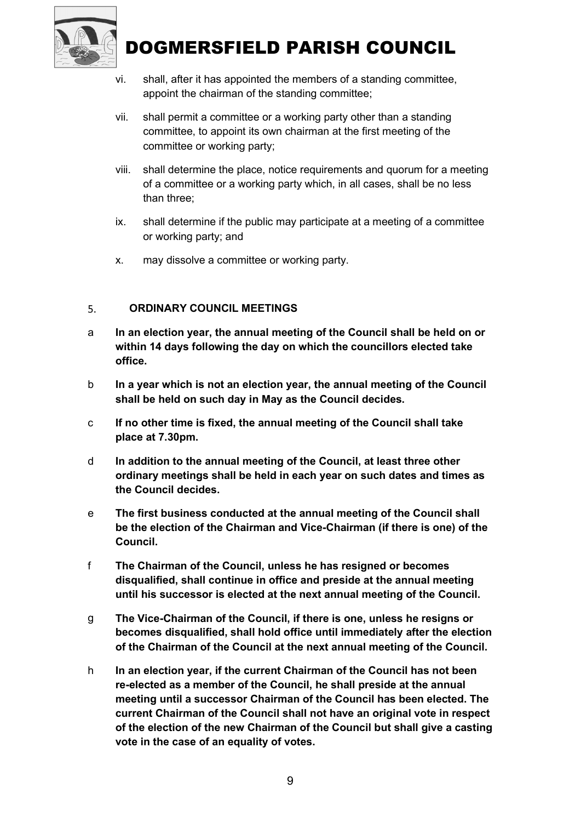

- vi. shall, after it has appointed the members of a standing committee, appoint the chairman of the standing committee;
- vii. shall permit a committee or a working party other than a standing committee, to appoint its own chairman at the first meeting of the committee or working party;
- viii. shall determine the place, notice requirements and quorum for a meeting of a committee or a working party which, in all cases, shall be no less than three;
- ix. shall determine if the public may participate at a meeting of a committee or working party; and
- x. may dissolve a committee or working party.

#### ORDINARY COUNCIL MEETINGS 5.

- a In an election year, the annual meeting of the Council shall be held on or within 14 days following the day on which the councillors elected take office.
- b In a year which is not an election year, the annual meeting of the Council shall be held on such day in May as the Council decides.
- c If no other time is fixed, the annual meeting of the Council shall take place at 7.30pm.
- d In addition to the annual meeting of the Council, at least three other ordinary meetings shall be held in each year on such dates and times as the Council decides.
- e The first business conducted at the annual meeting of the Council shall be the election of the Chairman and Vice-Chairman (if there is one) of the Council.
- f The Chairman of the Council, unless he has resigned or becomes disqualified, shall continue in office and preside at the annual meeting until his successor is elected at the next annual meeting of the Council.
- g The Vice-Chairman of the Council, if there is one, unless he resigns or becomes disqualified, shall hold office until immediately after the election of the Chairman of the Council at the next annual meeting of the Council.
- h In an election year, if the current Chairman of the Council has not been re-elected as a member of the Council, he shall preside at the annual meeting until a successor Chairman of the Council has been elected. The current Chairman of the Council shall not have an original vote in respect of the election of the new Chairman of the Council but shall give a casting vote in the case of an equality of votes.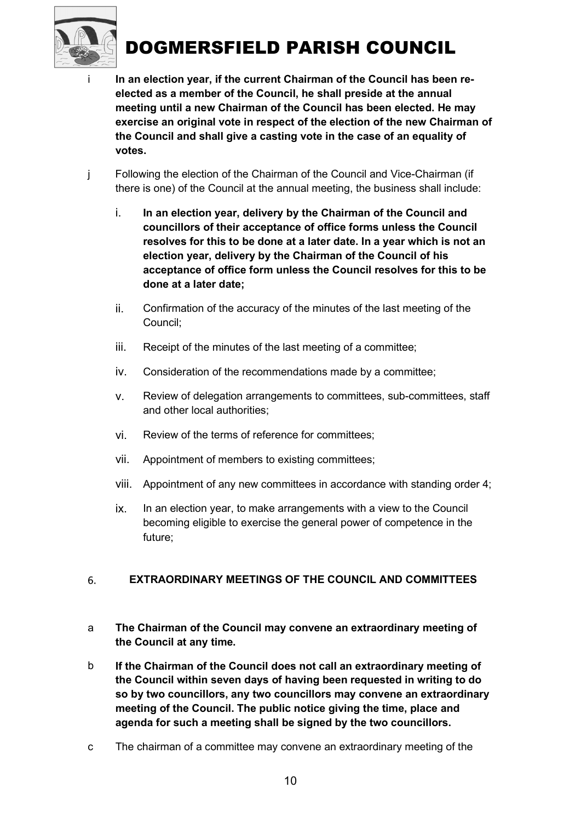

- i In an election year, if the current Chairman of the Council has been reelected as a member of the Council, he shall preside at the annual meeting until a new Chairman of the Council has been elected. He may exercise an original vote in respect of the election of the new Chairman of the Council and shall give a casting vote in the case of an equality of votes.
- j Following the election of the Chairman of the Council and Vice-Chairman (if there is one) of the Council at the annual meeting, the business shall include:
	- i. In an election year, delivery by the Chairman of the Council and councillors of their acceptance of office forms unless the Council resolves for this to be done at a later date. In a year which is not an election year, delivery by the Chairman of the Council of his acceptance of office form unless the Council resolves for this to be done at a later date;
	- ii. Confirmation of the accuracy of the minutes of the last meeting of the Council;
	- iii. Receipt of the minutes of the last meeting of a committee;
	- iv. Consideration of the recommendations made by a committee;
	- v. Review of delegation arrangements to committees, sub-committees, staff and other local authorities;
	- vi. Review of the terms of reference for committees;
	- vii. Appointment of members to existing committees;
	- viii. Appointment of any new committees in accordance with standing order 4;
	- ix. In an election year, to make arrangements with a view to the Council becoming eligible to exercise the general power of competence in the future;

#### EXTRAORDINARY MEETINGS OF THE COUNCIL AND COMMITTEES 6.

- a The Chairman of the Council may convene an extraordinary meeting of the Council at any time.
- b If the Chairman of the Council does not call an extraordinary meeting of the Council within seven days of having been requested in writing to do so by two councillors, any two councillors may convene an extraordinary meeting of the Council. The public notice giving the time, place and agenda for such a meeting shall be signed by the two councillors.
- c The chairman of a committee may convene an extraordinary meeting of the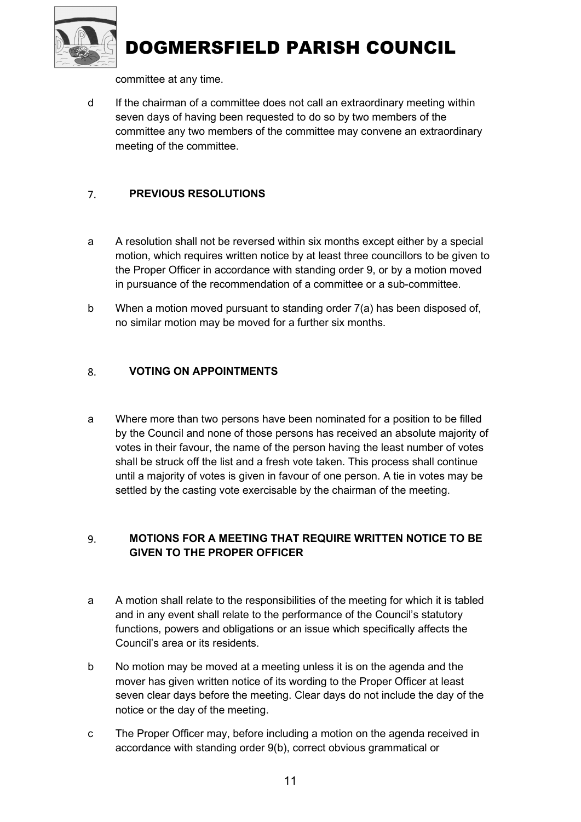

committee at any time.

d If the chairman of a committee does not call an extraordinary meeting within seven days of having been requested to do so by two members of the committee any two members of the committee may convene an extraordinary meeting of the committee.

#### $7<sub>1</sub>$ PREVIOUS RESOLUTIONS

- a A resolution shall not be reversed within six months except either by a special motion, which requires written notice by at least three councillors to be given to the Proper Officer in accordance with standing order 9, or by a motion moved in pursuance of the recommendation of a committee or a sub-committee.
- b When a motion moved pursuant to standing order 7(a) has been disposed of, no similar motion may be moved for a further six months.

#### VOTING ON APPOINTMENTS 8.

a Where more than two persons have been nominated for a position to be filled by the Council and none of those persons has received an absolute majority of votes in their favour, the name of the person having the least number of votes shall be struck off the list and a fresh vote taken. This process shall continue until a majority of votes is given in favour of one person. A tie in votes may be settled by the casting vote exercisable by the chairman of the meeting.

#### 9. MOTIONS FOR A MEETING THAT REQUIRE WRITTEN NOTICE TO BE GIVEN TO THE PROPER OFFICER

- a A motion shall relate to the responsibilities of the meeting for which it is tabled and in any event shall relate to the performance of the Council's statutory functions, powers and obligations or an issue which specifically affects the Council's area or its residents.
- b No motion may be moved at a meeting unless it is on the agenda and the mover has given written notice of its wording to the Proper Officer at least seven clear days before the meeting. Clear days do not include the day of the notice or the day of the meeting.
- c The Proper Officer may, before including a motion on the agenda received in accordance with standing order 9(b), correct obvious grammatical or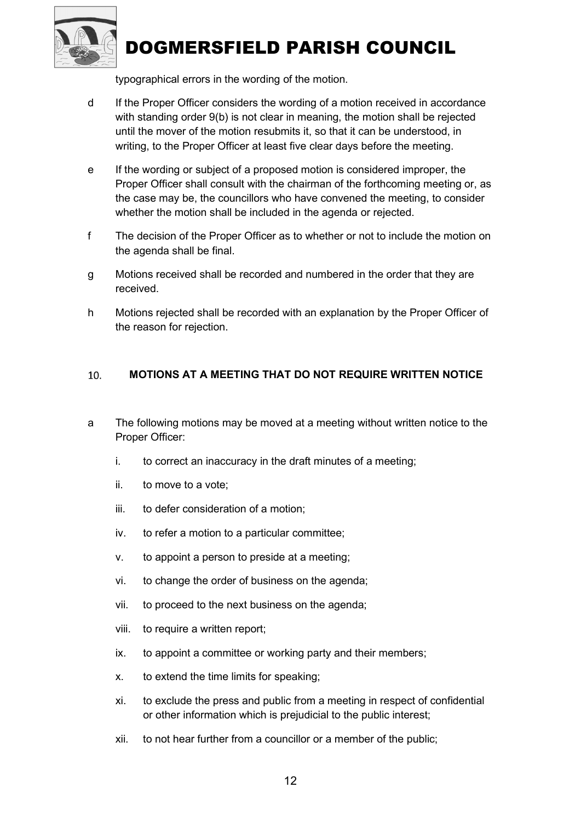

typographical errors in the wording of the motion.

- d If the Proper Officer considers the wording of a motion received in accordance with standing order 9(b) is not clear in meaning, the motion shall be rejected until the mover of the motion resubmits it, so that it can be understood, in writing, to the Proper Officer at least five clear days before the meeting.
- e If the wording or subject of a proposed motion is considered improper, the Proper Officer shall consult with the chairman of the forthcoming meeting or, as the case may be, the councillors who have convened the meeting, to consider whether the motion shall be included in the agenda or rejected.
- f The decision of the Proper Officer as to whether or not to include the motion on the agenda shall be final.
- g Motions received shall be recorded and numbered in the order that they are received.
- h Motions rejected shall be recorded with an explanation by the Proper Officer of the reason for rejection.

#### MOTIONS AT A MEETING THAT DO NOT REQUIRE WRITTEN NOTICE 10.

- a The following motions may be moved at a meeting without written notice to the Proper Officer:
	- i. to correct an inaccuracy in the draft minutes of a meeting;
	- ii. to move to a vote;
	- iii. to defer consideration of a motion;
	- iv. to refer a motion to a particular committee;
	- v. to appoint a person to preside at a meeting;
	- vi. to change the order of business on the agenda;
	- vii. to proceed to the next business on the agenda;
	- viii. to require a written report;
	- ix. to appoint a committee or working party and their members;
	- x. to extend the time limits for speaking;
	- xi. to exclude the press and public from a meeting in respect of confidential or other information which is prejudicial to the public interest;
	- xii. to not hear further from a councillor or a member of the public;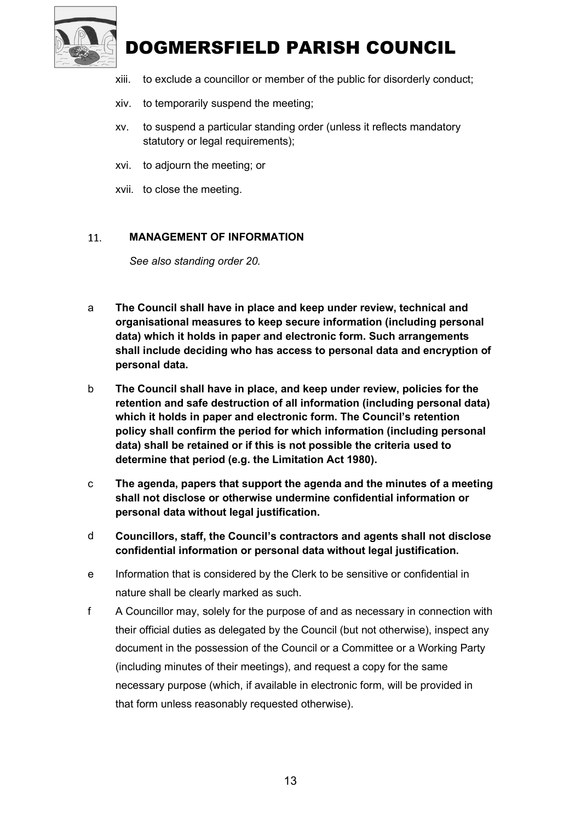

- xiii. to exclude a councillor or member of the public for disorderly conduct;
- xiv. to temporarily suspend the meeting;
- xv. to suspend a particular standing order (unless it reflects mandatory statutory or legal requirements);
- xvi. to adjourn the meeting; or
- xvii. to close the meeting.

#### MANAGEMENT OF INFORMATION 11.

See also standing order 20.

- a The Council shall have in place and keep under review, technical and organisational measures to keep secure information (including personal data) which it holds in paper and electronic form. Such arrangements shall include deciding who has access to personal data and encryption of personal data.
- b The Council shall have in place, and keep under review, policies for the retention and safe destruction of all information (including personal data) which it holds in paper and electronic form. The Council's retention policy shall confirm the period for which information (including personal data) shall be retained or if this is not possible the criteria used to determine that period (e.g. the Limitation Act 1980).
- c The agenda, papers that support the agenda and the minutes of a meeting shall not disclose or otherwise undermine confidential information or personal data without legal justification.
- d Councillors, staff, the Council's contractors and agents shall not disclose confidential information or personal data without legal justification.
- e Information that is considered by the Clerk to be sensitive or confidential in nature shall be clearly marked as such.
- f A Councillor may, solely for the purpose of and as necessary in connection with their official duties as delegated by the Council (but not otherwise), inspect any document in the possession of the Council or a Committee or a Working Party (including minutes of their meetings), and request a copy for the same necessary purpose (which, if available in electronic form, will be provided in that form unless reasonably requested otherwise).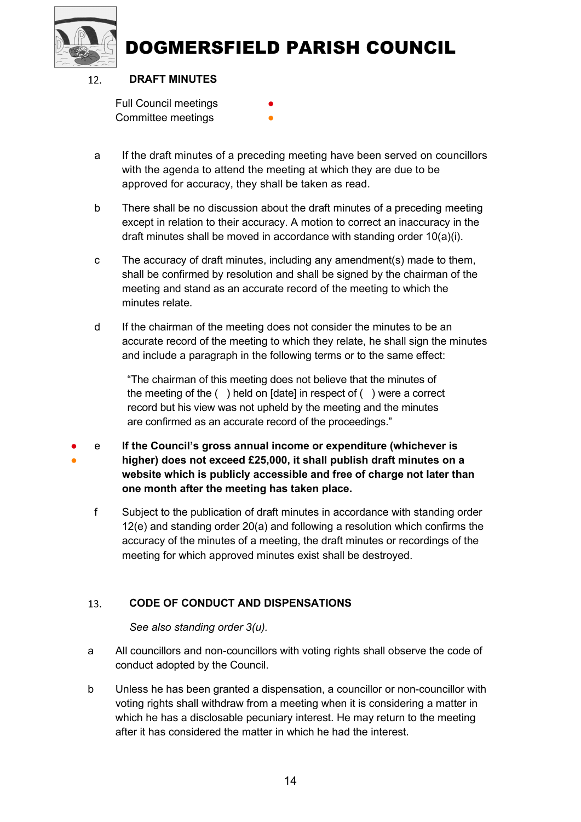



#### DRAFT MINUTES  $12.$

Full Council meetings Committee meetings

- a If the draft minutes of a preceding meeting have been served on councillors with the agenda to attend the meeting at which they are due to be approved for accuracy, they shall be taken as read.
- b There shall be no discussion about the draft minutes of a preceding meeting except in relation to their accuracy. A motion to correct an inaccuracy in the draft minutes shall be moved in accordance with standing order 10(a)(i).
- c The accuracy of draft minutes, including any amendment(s) made to them, shall be confirmed by resolution and shall be signed by the chairman of the meeting and stand as an accurate record of the meeting to which the minutes relate.
- d If the chairman of the meeting does not consider the minutes to be an accurate record of the meeting to which they relate, he shall sign the minutes and include a paragraph in the following terms or to the same effect:

"The chairman of this meeting does not believe that the minutes of the meeting of the ( ) held on [date] in respect of ( ) were a correct record but his view was not upheld by the meeting and the minutes are confirmed as an accurate record of the proceedings."

- ● e If the Council's gross annual income or expenditure (whichever is higher) does not exceed £25,000, it shall publish draft minutes on a website which is publicly accessible and free of charge not later than one month after the meeting has taken place.
	- f Subject to the publication of draft minutes in accordance with standing order 12(e) and standing order 20(a) and following a resolution which confirms the accuracy of the minutes of a meeting, the draft minutes or recordings of the meeting for which approved minutes exist shall be destroyed.

#### 13. CODE OF CONDUCT AND DISPENSATIONS

See also standing order 3(u).

- a All councillors and non-councillors with voting rights shall observe the code of conduct adopted by the Council.
- b Unless he has been granted a dispensation, a councillor or non-councillor with voting rights shall withdraw from a meeting when it is considering a matter in which he has a disclosable pecuniary interest. He may return to the meeting after it has considered the matter in which he had the interest.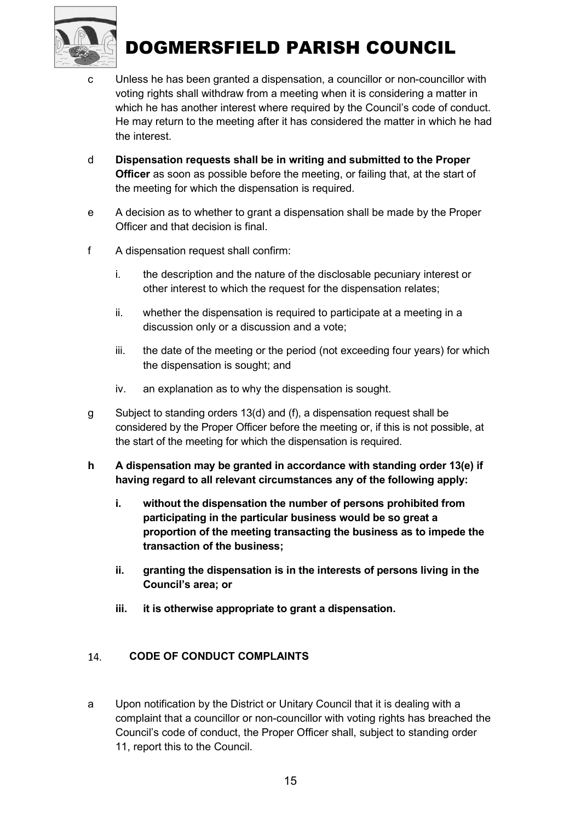

- c Unless he has been granted a dispensation, a councillor or non-councillor with voting rights shall withdraw from a meeting when it is considering a matter in which he has another interest where required by the Council's code of conduct. He may return to the meeting after it has considered the matter in which he had the interest.
- d Dispensation requests shall be in writing and submitted to the Proper **Officer** as soon as possible before the meeting, or failing that, at the start of the meeting for which the dispensation is required.
- e A decision as to whether to grant a dispensation shall be made by the Proper Officer and that decision is final.
- f A dispensation request shall confirm:
	- i. the description and the nature of the disclosable pecuniary interest or other interest to which the request for the dispensation relates;
	- ii. whether the dispensation is required to participate at a meeting in a discussion only or a discussion and a vote;
	- iii. the date of the meeting or the period (not exceeding four years) for which the dispensation is sought; and
	- iv. an explanation as to why the dispensation is sought.
- g Subject to standing orders 13(d) and (f), a dispensation request shall be considered by the Proper Officer before the meeting or, if this is not possible, at the start of the meeting for which the dispensation is required.
- h A dispensation may be granted in accordance with standing order 13(e) if having regard to all relevant circumstances any of the following apply:
	- i. without the dispensation the number of persons prohibited from participating in the particular business would be so great a proportion of the meeting transacting the business as to impede the transaction of the business;
	- ii. granting the dispensation is in the interests of persons living in the Council's area; or
	- iii. it is otherwise appropriate to grant a dispensation.

#### 14. CODE OF CONDUCT COMPLAINTS

a Upon notification by the District or Unitary Council that it is dealing with a complaint that a councillor or non-councillor with voting rights has breached the Council's code of conduct, the Proper Officer shall, subject to standing order 11, report this to the Council.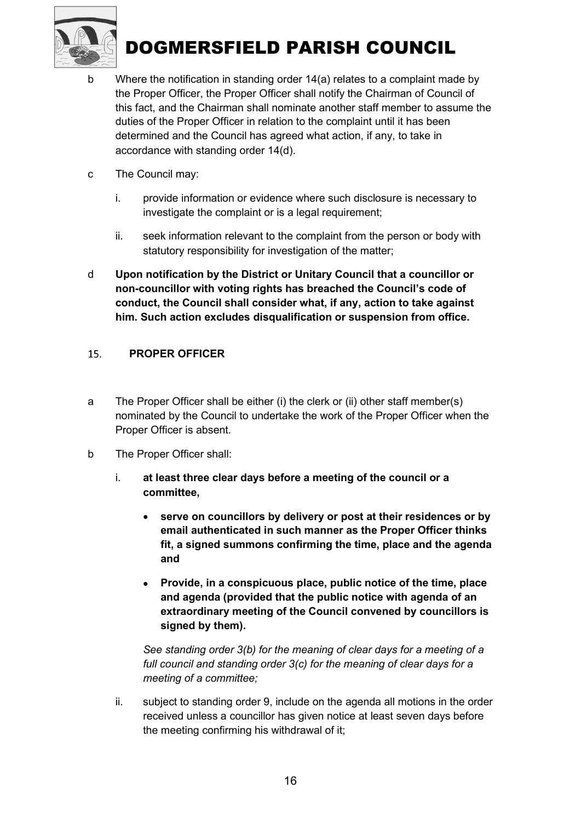

- b Where the notification in standing order 14(a) relates to a complaint made by the Proper Officer, the Proper Officer shall notify the Chairman of Council of this fact, and the Chairman shall nominate another staff member to assume the duties of the Proper Officer in relation to the complaint until it has been determined and the Council has agreed what action, if any, to take in accordance with standing order 14(d).
- c The Council may:
	- i. provide information or evidence where such disclosure is necessary to investigate the complaint or is a legal requirement;
	- ii. seek information relevant to the complaint from the person or body with statutory responsibility for investigation of the matter;
- d Upon notification by the District or Unitary Council that a councillor or non-councillor with voting rights has breached the Council's code of conduct, the Council shall consider what, if any, action to take against him. Such action excludes disqualification or suspension from office.

#### PROPER OFFICER 15.

- a The Proper Officer shall be either (i) the clerk or (ii) other staff member(s) nominated by the Council to undertake the work of the Proper Officer when the Proper Officer is absent.
- b The Proper Officer shall:
	- i. at least three clear days before a meeting of the council or a committee,
		- serve on councillors by delivery or post at their residences or by email authenticated in such manner as the Proper Officer thinks fit, a signed summons confirming the time, place and the agenda and
		- Provide, in a conspicuous place, public notice of the time, place and agenda (provided that the public notice with agenda of an extraordinary meeting of the Council convened by councillors is signed by them).

See standing order 3(b) for the meaning of clear days for a meeting of a full council and standing order 3(c) for the meaning of clear days for a meeting of a committee;

ii. subject to standing order 9, include on the agenda all motions in the order received unless a councillor has given notice at least seven days before the meeting confirming his withdrawal of it;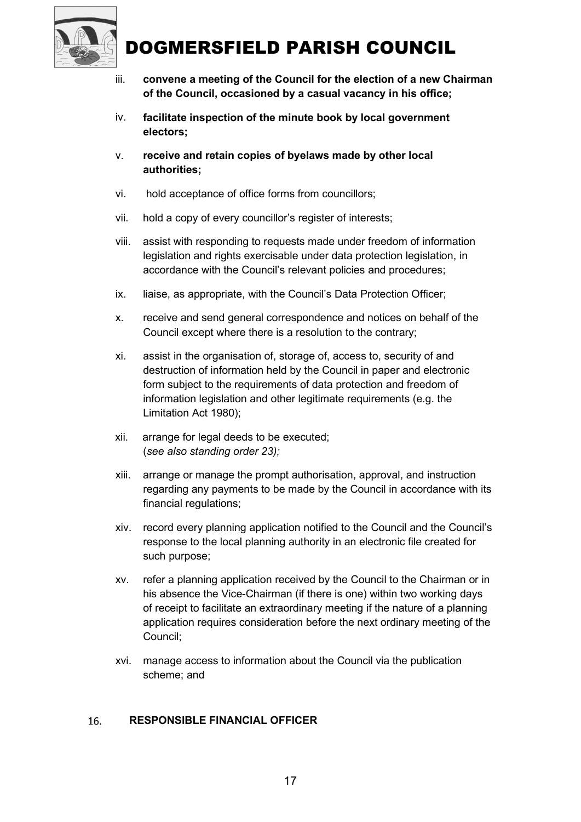

- iii. convene a meeting of the Council for the election of a new Chairman of the Council, occasioned by a casual vacancy in his office;
- iv. facilitate inspection of the minute book by local government electors;
- v. receive and retain copies of byelaws made by other local authorities;
- vi. hold acceptance of office forms from councillors;
- vii. hold a copy of every councillor's register of interests;
- viii. assist with responding to requests made under freedom of information legislation and rights exercisable under data protection legislation, in accordance with the Council's relevant policies and procedures;
- ix. liaise, as appropriate, with the Council's Data Protection Officer;
- x. receive and send general correspondence and notices on behalf of the Council except where there is a resolution to the contrary;
- xi. assist in the organisation of, storage of, access to, security of and destruction of information held by the Council in paper and electronic form subject to the requirements of data protection and freedom of information legislation and other legitimate requirements (e.g. the Limitation Act 1980);
- xii. arrange for legal deeds to be executed; (see also standing order 23);
- xiii. arrange or manage the prompt authorisation, approval, and instruction regarding any payments to be made by the Council in accordance with its financial regulations;
- xiv. record every planning application notified to the Council and the Council's response to the local planning authority in an electronic file created for such purpose;
- xv. refer a planning application received by the Council to the Chairman or in his absence the Vice-Chairman (if there is one) within two working days of receipt to facilitate an extraordinary meeting if the nature of a planning application requires consideration before the next ordinary meeting of the Council;
- xvi. manage access to information about the Council via the publication scheme; and

#### RESPONSIBLE FINANCIAL OFFICER 16.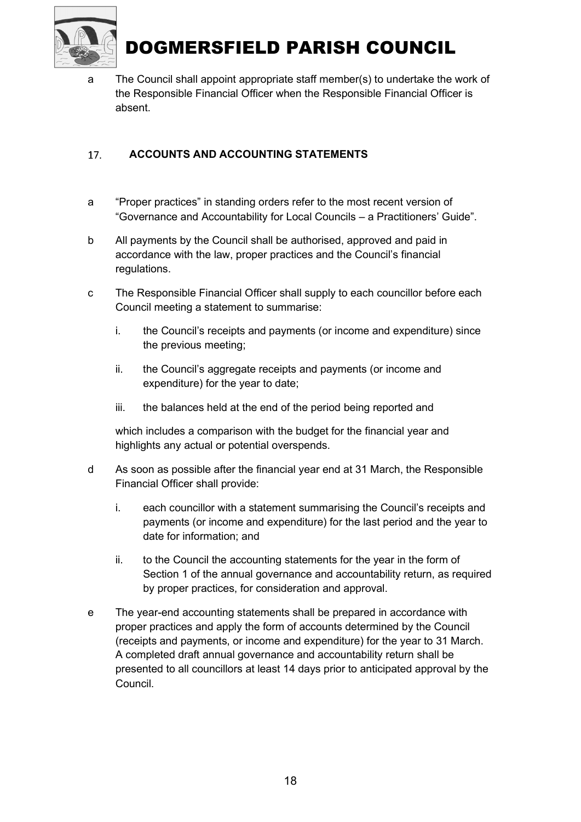

a The Council shall appoint appropriate staff member(s) to undertake the work of the Responsible Financial Officer when the Responsible Financial Officer is absent.

#### 17. ACCOUNTS AND ACCOUNTING STATEMENTS

- a "Proper practices" in standing orders refer to the most recent version of "Governance and Accountability for Local Councils – a Practitioners' Guide".
- b All payments by the Council shall be authorised, approved and paid in accordance with the law, proper practices and the Council's financial regulations.
- c The Responsible Financial Officer shall supply to each councillor before each Council meeting a statement to summarise:
	- i. the Council's receipts and payments (or income and expenditure) since the previous meeting;
	- ii. the Council's aggregate receipts and payments (or income and expenditure) for the year to date;
	- iii. the balances held at the end of the period being reported and

which includes a comparison with the budget for the financial year and highlights any actual or potential overspends.

- d As soon as possible after the financial year end at 31 March, the Responsible Financial Officer shall provide:
	- i. each councillor with a statement summarising the Council's receipts and payments (or income and expenditure) for the last period and the year to date for information; and
	- ii. to the Council the accounting statements for the year in the form of Section 1 of the annual governance and accountability return, as required by proper practices, for consideration and approval.
- e The year-end accounting statements shall be prepared in accordance with proper practices and apply the form of accounts determined by the Council (receipts and payments, or income and expenditure) for the year to 31 March. A completed draft annual governance and accountability return shall be presented to all councillors at least 14 days prior to anticipated approval by the Council.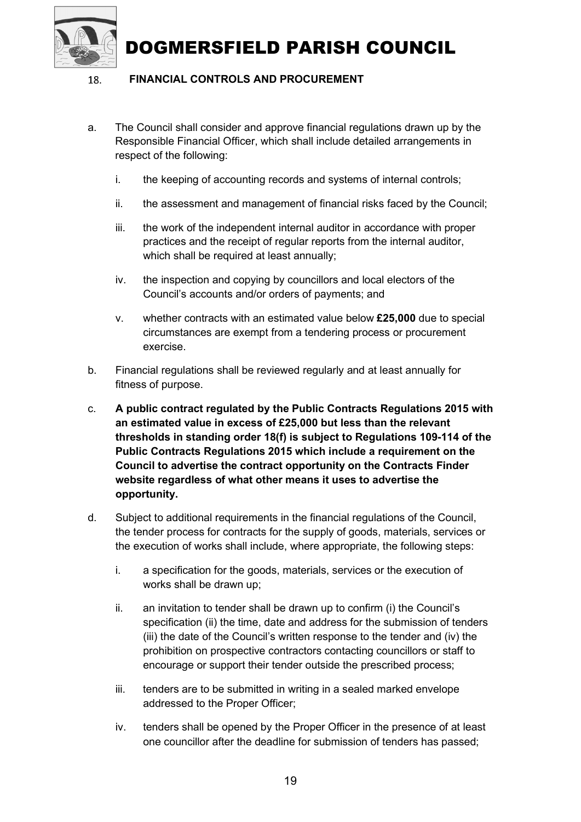#### FINANCIAL CONTROLS AND PROCUREMENT 18.

- a. The Council shall consider and approve financial regulations drawn up by the Responsible Financial Officer, which shall include detailed arrangements in respect of the following:
	- i. the keeping of accounting records and systems of internal controls;
	- ii. the assessment and management of financial risks faced by the Council;
	- iii. the work of the independent internal auditor in accordance with proper practices and the receipt of regular reports from the internal auditor, which shall be required at least annually;
	- iv. the inspection and copying by councillors and local electors of the Council's accounts and/or orders of payments; and
	- v. whether contracts with an estimated value below £25,000 due to special circumstances are exempt from a tendering process or procurement exercise.
- b. Financial regulations shall be reviewed regularly and at least annually for fitness of purpose.
- c. A public contract regulated by the Public Contracts Regulations 2015 with an estimated value in excess of £25,000 but less than the relevant thresholds in standing order 18(f) is subject to Regulations 109-114 of the Public Contracts Regulations 2015 which include a requirement on the Council to advertise the contract opportunity on the Contracts Finder website regardless of what other means it uses to advertise the opportunity.
- d. Subject to additional requirements in the financial regulations of the Council, the tender process for contracts for the supply of goods, materials, services or the execution of works shall include, where appropriate, the following steps:
	- i. a specification for the goods, materials, services or the execution of works shall be drawn up;
	- ii. an invitation to tender shall be drawn up to confirm (i) the Council's specification (ii) the time, date and address for the submission of tenders (iii) the date of the Council's written response to the tender and (iv) the prohibition on prospective contractors contacting councillors or staff to encourage or support their tender outside the prescribed process;
	- iii. tenders are to be submitted in writing in a sealed marked envelope addressed to the Proper Officer;
	- iv. tenders shall be opened by the Proper Officer in the presence of at least one councillor after the deadline for submission of tenders has passed;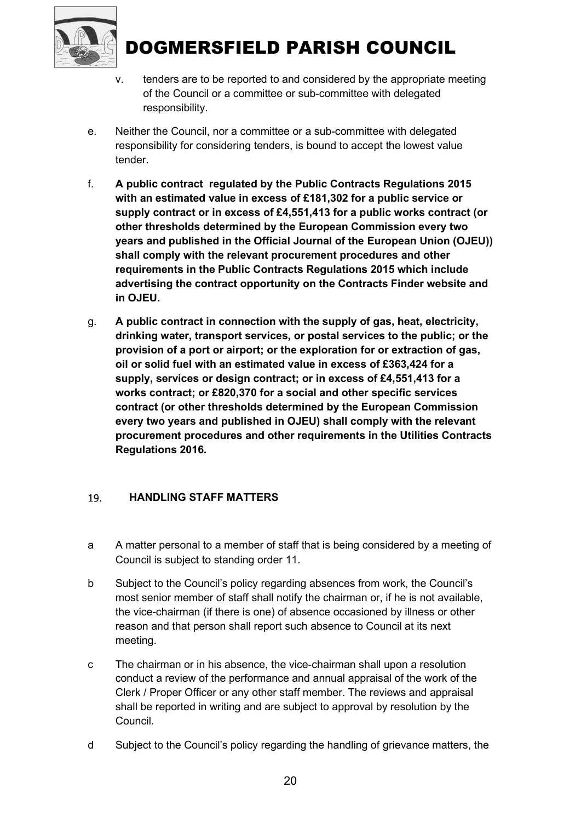

- v. tenders are to be reported to and considered by the appropriate meeting of the Council or a committee or sub-committee with delegated responsibility.
- e. Neither the Council, nor a committee or a sub-committee with delegated responsibility for considering tenders, is bound to accept the lowest value tender.
- f. A public contract regulated by the Public Contracts Regulations 2015 with an estimated value in excess of £181,302 for a public service or supply contract or in excess of £4,551,413 for a public works contract (or other thresholds determined by the European Commission every two years and published in the Official Journal of the European Union (OJEU)) shall comply with the relevant procurement procedures and other requirements in the Public Contracts Regulations 2015 which include advertising the contract opportunity on the Contracts Finder website and in OJEU.
- g. A public contract in connection with the supply of gas, heat, electricity, drinking water, transport services, or postal services to the public; or the provision of a port or airport; or the exploration for or extraction of gas, oil or solid fuel with an estimated value in excess of £363,424 for a supply, services or design contract; or in excess of £4,551,413 for a works contract; or £820,370 for a social and other specific services contract (or other thresholds determined by the European Commission every two years and published in OJEU) shall comply with the relevant procurement procedures and other requirements in the Utilities Contracts Regulations 2016.

#### 19. HANDLING STAFF MATTERS

- a A matter personal to a member of staff that is being considered by a meeting of Council is subject to standing order 11.
- b Subject to the Council's policy regarding absences from work, the Council's most senior member of staff shall notify the chairman or, if he is not available, the vice-chairman (if there is one) of absence occasioned by illness or other reason and that person shall report such absence to Council at its next meeting.
- c The chairman or in his absence, the vice-chairman shall upon a resolution conduct a review of the performance and annual appraisal of the work of the Clerk / Proper Officer or any other staff member. The reviews and appraisal shall be reported in writing and are subject to approval by resolution by the Council.
- d Subject to the Council's policy regarding the handling of grievance matters, the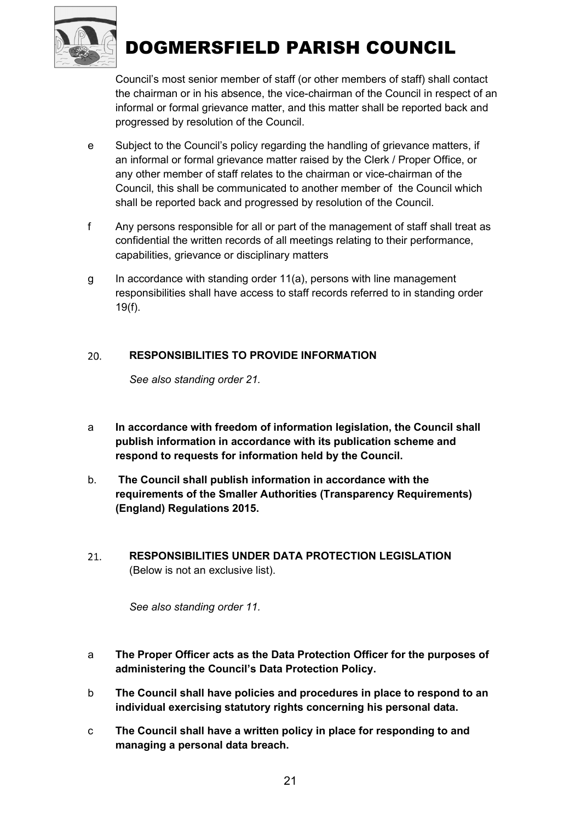

Council's most senior member of staff (or other members of staff) shall contact the chairman or in his absence, the vice-chairman of the Council in respect of an informal or formal grievance matter, and this matter shall be reported back and progressed by resolution of the Council.

- e Subject to the Council's policy regarding the handling of grievance matters, if an informal or formal grievance matter raised by the Clerk / Proper Office, or any other member of staff relates to the chairman or vice-chairman of the Council, this shall be communicated to another member of the Council which shall be reported back and progressed by resolution of the Council.
- f Any persons responsible for all or part of the management of staff shall treat as confidential the written records of all meetings relating to their performance, capabilities, grievance or disciplinary matters
- g In accordance with standing order 11(a), persons with line management responsibilities shall have access to staff records referred to in standing order 19(f).

#### 20. RESPONSIBILITIES TO PROVIDE INFORMATION

See also standing order 21.

- a In accordance with freedom of information legislation, the Council shall publish information in accordance with its publication scheme and respond to requests for information held by the Council.
- b. The Council shall publish information in accordance with the requirements of the Smaller Authorities (Transparency Requirements) (England) Regulations 2015.
- RESPONSIBILITIES UNDER DATA PROTECTION LEGISLATION 21. (Below is not an exclusive list).

See also standing order 11.

- a The Proper Officer acts as the Data Protection Officer for the purposes of administering the Council's Data Protection Policy.
- b The Council shall have policies and procedures in place to respond to an individual exercising statutory rights concerning his personal data.
- c The Council shall have a written policy in place for responding to and managing a personal data breach.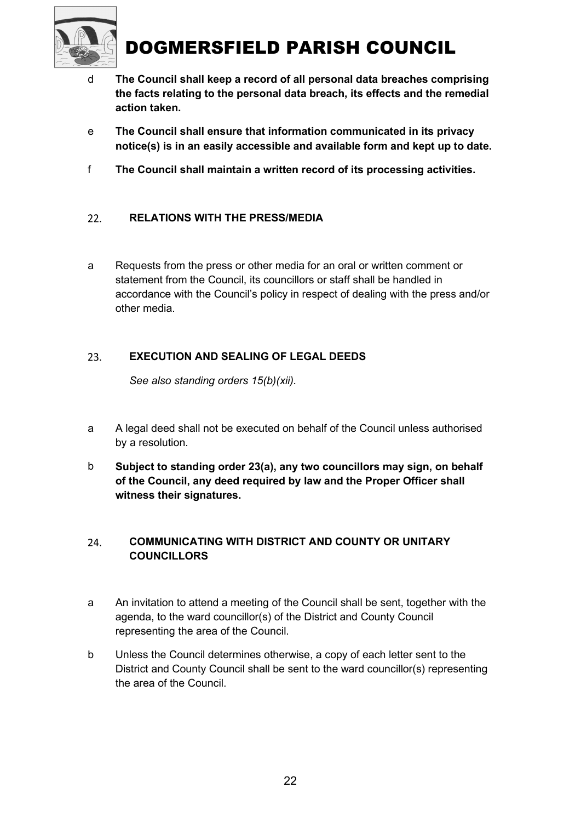

- d The Council shall keep a record of all personal data breaches comprising the facts relating to the personal data breach, its effects and the remedial action taken.
- e The Council shall ensure that information communicated in its privacy notice(s) is in an easily accessible and available form and kept up to date.
- f The Council shall maintain a written record of its processing activities.

#### $22.$ RELATIONS WITH THE PRESS/MEDIA

a Requests from the press or other media for an oral or written comment or statement from the Council, its councillors or staff shall be handled in accordance with the Council's policy in respect of dealing with the press and/or other media.

#### EXECUTION AND SEALING OF LEGAL DEEDS 23.

See also standing orders 15(b)(xii).

- a A legal deed shall not be executed on behalf of the Council unless authorised by a resolution.
- b Subject to standing order 23(a), any two councillors may sign, on behalf of the Council, any deed required by law and the Proper Officer shall witness their signatures.

#### COMMUNICATING WITH DISTRICT AND COUNTY OR UNITARY 24. **COUNCILLORS**

- a An invitation to attend a meeting of the Council shall be sent, together with the agenda, to the ward councillor(s) of the District and County Council representing the area of the Council.
- b Unless the Council determines otherwise, a copy of each letter sent to the District and County Council shall be sent to the ward councillor(s) representing the area of the Council.